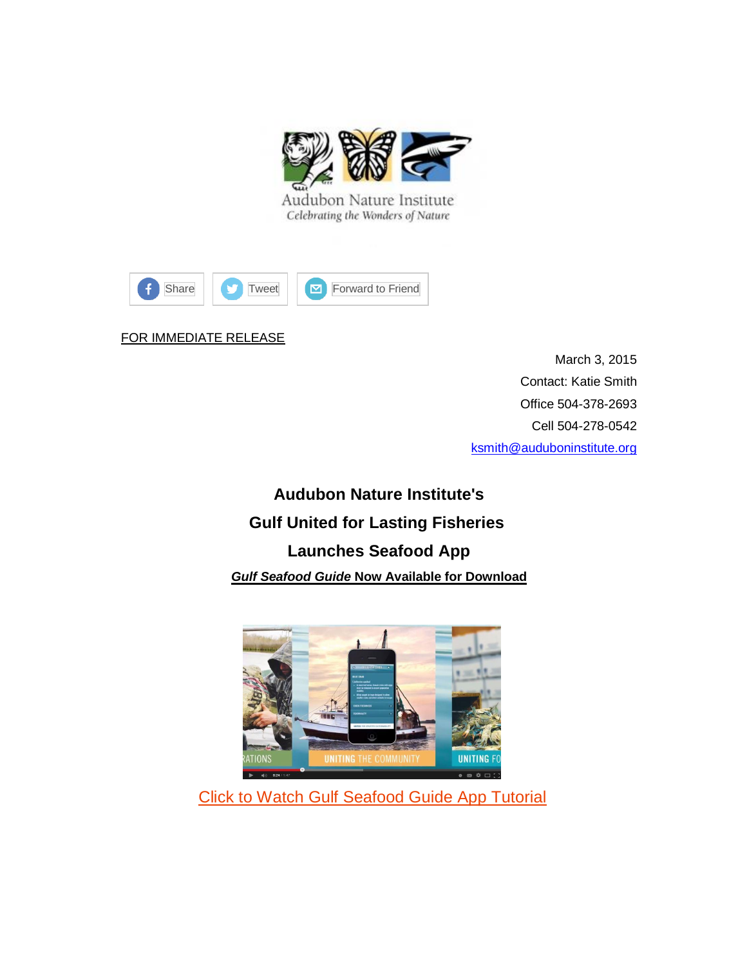

Audubon Nature Institute Celebrating the Wonders of Nature



## FOR IMMEDIATE RELEASE

March 3, 2015 Contact: Katie Smith Office 504-378-2693 Cell 504-278-0542 [ksmith@auduboninstitute.org](mailto:ksmith@auduboninstitute.org)

**Audubon Nature Institute's Gulf United for Lasting Fisheries Launches Seafood App** *Gulf Seafood Guide* **Now Available for Download**



[Click to Watch Gulf Seafood Guide](http://auduboninstitute.us2.list-manage2.com/track/click?u=58440837dab4d883e3efe0453&id=ece5bdb2a1&e=5b1aa01617) App Tutorial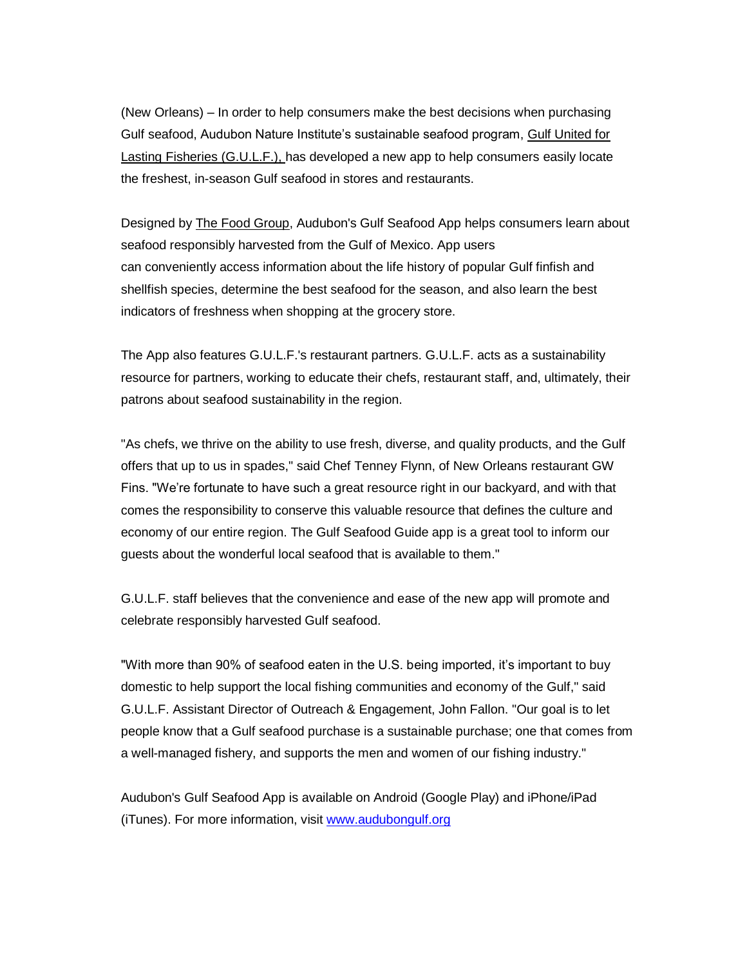(New Orleans) – In order to help consumers make the best decisions when purchasing Gulf seafood, Audubon Nature Institute's sustainable seafood program, [Gulf United for](http://auduboninstitute.us2.list-manage.com/track/click?u=58440837dab4d883e3efe0453&id=4625619315&e=5b1aa01617)  [Lasting Fisheries \(G.U.L.F.\),](http://auduboninstitute.us2.list-manage.com/track/click?u=58440837dab4d883e3efe0453&id=4625619315&e=5b1aa01617) has developed a new app to help consumers easily locate the freshest, in-season Gulf seafood in stores and restaurants.

Designed by [The Food Group,](http://auduboninstitute.us2.list-manage1.com/track/click?u=58440837dab4d883e3efe0453&id=91134d07c8&e=5b1aa01617) Audubon's Gulf Seafood App helps consumers learn about seafood responsibly harvested from the Gulf of Mexico. App users can conveniently access information about the life history of popular Gulf finfish and shellfish species, determine the best seafood for the season, and also learn the best indicators of freshness when shopping at the grocery store.

The App also features G.U.L.F.'s restaurant partners. G.U.L.F. acts as a sustainability resource for partners, working to educate their chefs, restaurant staff, and, ultimately, their patrons about seafood sustainability in the region.

"As chefs, we thrive on the ability to use fresh, diverse, and quality products, and the Gulf offers that up to us in spades," said Chef Tenney Flynn, of New Orleans restaurant GW Fins. "We're fortunate to have such a great resource right in our backyard, and with that comes the responsibility to conserve this valuable resource that defines the culture and economy of our entire region. The Gulf Seafood Guide app is a great tool to inform our guests about the wonderful local seafood that is available to them."

G.U.L.F. staff believes that the convenience and ease of the new app will promote and celebrate responsibly harvested Gulf seafood.

"With more than 90% of seafood eaten in the U.S. being imported, it's important to buy domestic to help support the local fishing communities and economy of the Gulf," said G.U.L.F. Assistant Director of Outreach & Engagement, John Fallon. "Our goal is to let people know that a Gulf seafood purchase is a sustainable purchase; one that comes from a well-managed fishery, and supports the men and women of our fishing industry."

Audubon's Gulf Seafood App is available on Android (Google Play) and iPhone/iPad (iTunes). For more information, visit [www.audubongulf.org](http://www.audubongulf.org/)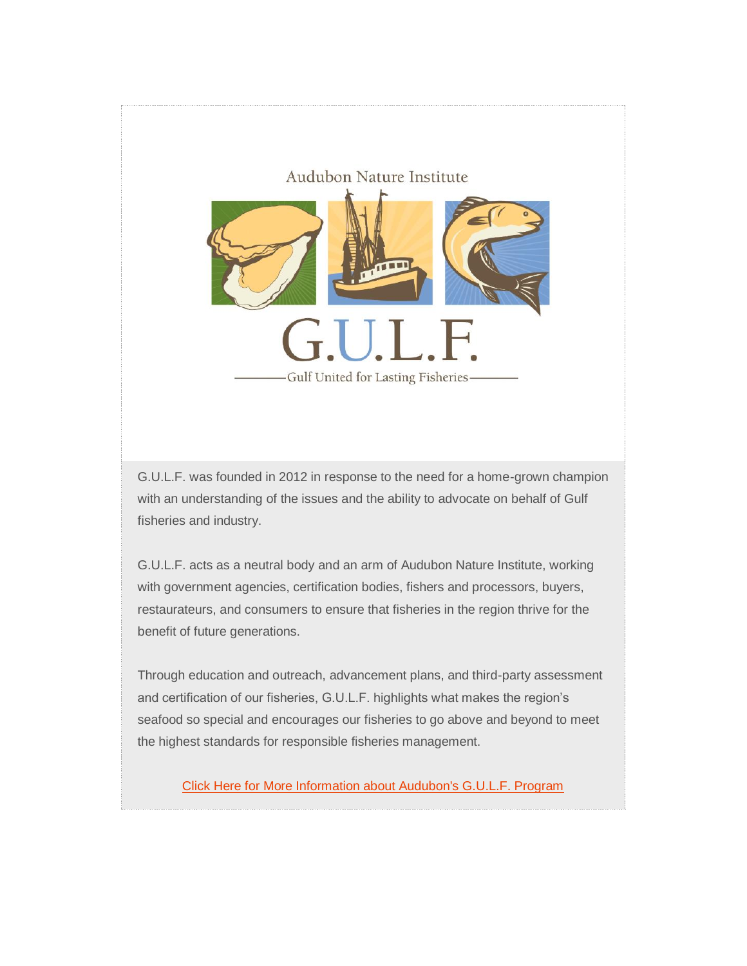

G.U.L.F. was founded in 2012 in response to the need for a home-grown champion with an understanding of the issues and the ability to advocate on behalf of Gulf fisheries and industry.

G.U.L.F. acts as a neutral body and an arm of Audubon Nature Institute, working with government agencies, certification bodies, fishers and processors, buyers, restaurateurs, and consumers to ensure that fisheries in the region thrive for the benefit of future generations.

Through education and outreach, advancement plans, and third-party assessment and certification of our fisheries, G.U.L.F. highlights what makes the region's seafood so special and encourages our fisheries to go above and beyond to meet the highest standards for responsible fisheries management.

[Click Here for More Information about Audubon's G.U.L.F. Program](http://auduboninstitute.us2.list-manage.com/track/click?u=58440837dab4d883e3efe0453&id=da6b46bc1a&e=5b1aa01617)